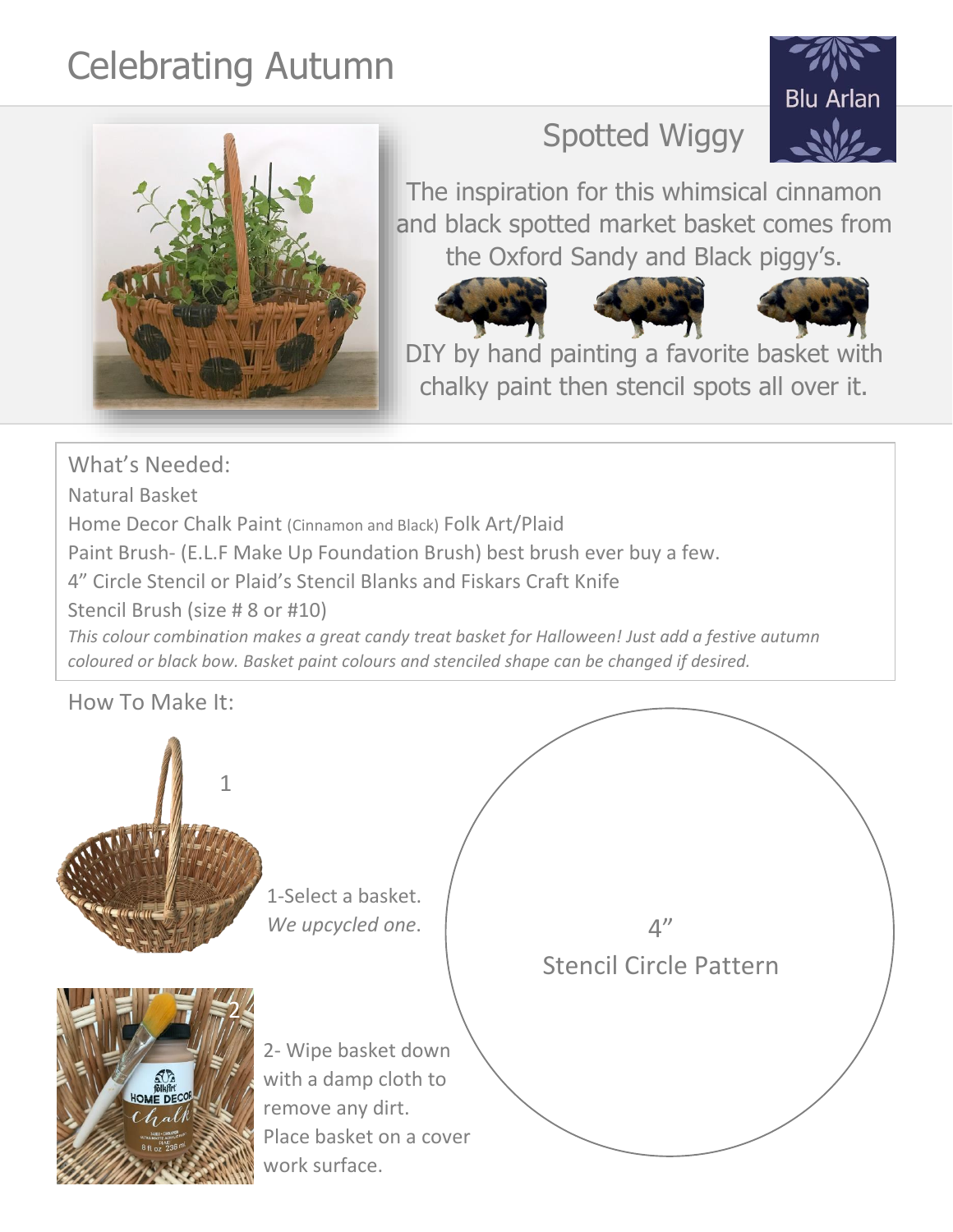## Celebrating Autumn





## Spotted Wiggy

The inspiration for this whimsical cinnamon and black spotted market basket comes from the Oxford Sandy and Black piggy's.





DIY by hand painting a favorite basket with chalky paint then stencil spots all over it.

What's Needed:

Natural Basket

Home Decor Chalk Paint (Cinnamon and Black) Folk Art/Plaid

Paint Brush- (E.L.F Make Up Foundation Brush) best brush ever buy a few.

4" Circle Stencil or Plaid's Stencil Blanks and Fiskars Craft Knife

Stencil Brush (size # 8 or #10)

*This colour combination makes a great candy treat basket for Halloween! Just add a festive autumn coloured or black bow. Basket paint colours and stenciled shape can be changed if desired.*